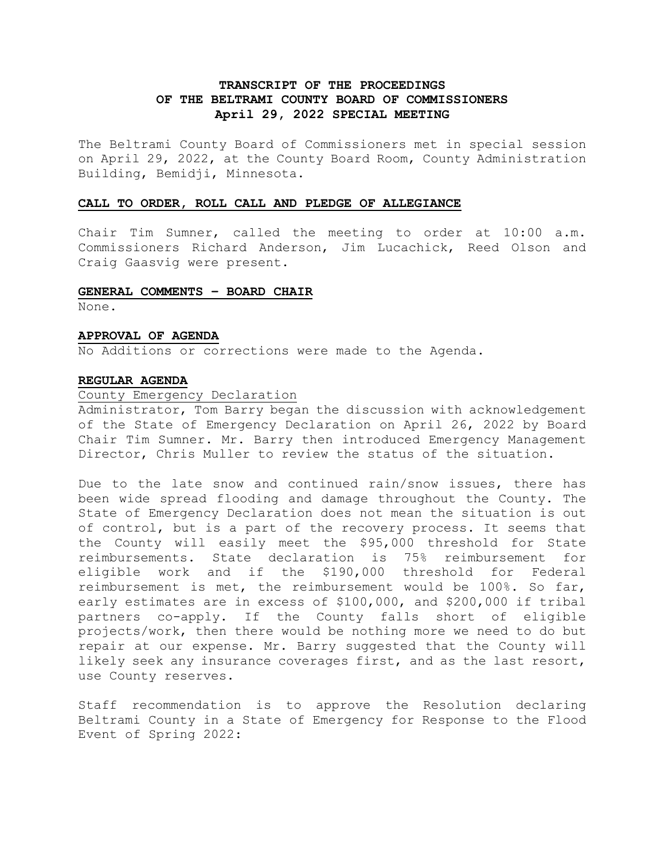# **TRANSCRIPT OF THE PROCEEDINGS OF THE BELTRAMI COUNTY BOARD OF COMMISSIONERS April 29, 2022 SPECIAL MEETING**

The Beltrami County Board of Commissioners met in special session on April 29, 2022, at the County Board Room, County Administration Building, Bemidji, Minnesota.

### **CALL TO ORDER, ROLL CALL AND PLEDGE OF ALLEGIANCE**

Chair Tim Sumner, called the meeting to order at 10:00 a.m. Commissioners Richard Anderson, Jim Lucachick, Reed Olson and Craig Gaasvig were present.

## **GENERAL COMMENTS – BOARD CHAIR**

None.

#### **APPROVAL OF AGENDA**

No Additions or corrections were made to the Agenda.

#### **REGULAR AGENDA**

## County Emergency Declaration

Administrator, Tom Barry began the discussion with acknowledgement of the State of Emergency Declaration on April 26, 2022 by Board Chair Tim Sumner. Mr. Barry then introduced Emergency Management Director, Chris Muller to review the status of the situation.

Due to the late snow and continued rain/snow issues, there has been wide spread flooding and damage throughout the County. The State of Emergency Declaration does not mean the situation is out of control, but is a part of the recovery process. It seems that the County will easily meet the \$95,000 threshold for State reimbursements. State declaration is 75% reimbursement for eligible work and if the \$190,000 threshold for Federal reimbursement is met, the reimbursement would be 100%. So far, early estimates are in excess of \$100,000, and \$200,000 if tribal partners co-apply. If the County falls short of eligible projects/work, then there would be nothing more we need to do but repair at our expense. Mr. Barry suggested that the County will likely seek any insurance coverages first, and as the last resort, use County reserves.

Staff recommendation is to approve the Resolution declaring Beltrami County in a State of Emergency for Response to the Flood Event of Spring 2022: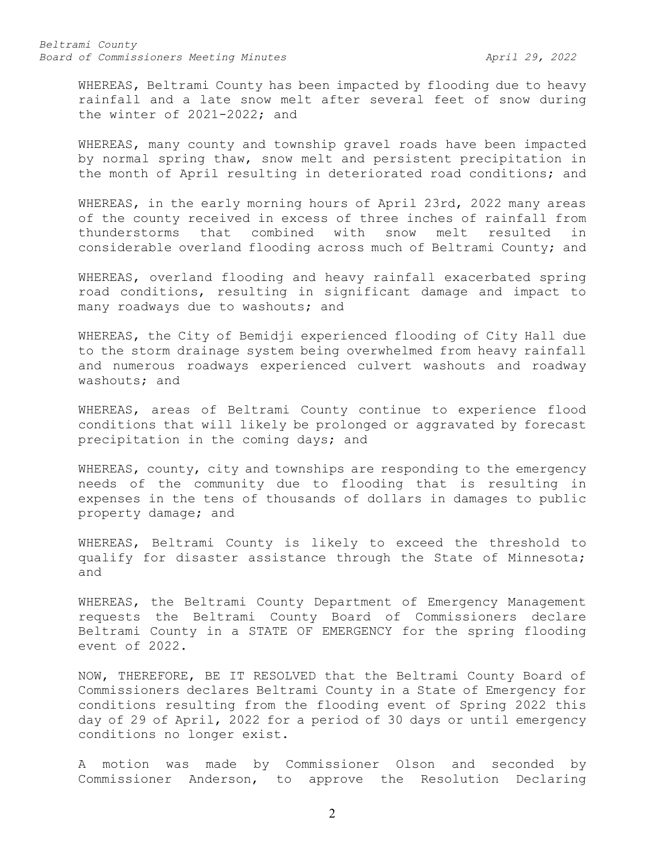*Beltrami County Board of Commissioners Meeting Minutes April 29, 2022*

WHEREAS, Beltrami County has been impacted by flooding due to heavy rainfall and a late snow melt after several feet of snow during the winter of 2021-2022; and

WHEREAS, many county and township gravel roads have been impacted by normal spring thaw, snow melt and persistent precipitation in the month of April resulting in deteriorated road conditions; and

WHEREAS, in the early morning hours of April 23rd, 2022 many areas of the county received in excess of three inches of rainfall from thunderstorms that combined with snow melt resulted in considerable overland flooding across much of Beltrami County; and

WHEREAS, overland flooding and heavy rainfall exacerbated spring road conditions, resulting in significant damage and impact to many roadways due to washouts; and

WHEREAS, the City of Bemidji experienced flooding of City Hall due to the storm drainage system being overwhelmed from heavy rainfall and numerous roadways experienced culvert washouts and roadway washouts; and

WHEREAS, areas of Beltrami County continue to experience flood conditions that will likely be prolonged or aggravated by forecast precipitation in the coming days; and

WHEREAS, county, city and townships are responding to the emergency needs of the community due to flooding that is resulting in expenses in the tens of thousands of dollars in damages to public property damage; and

WHEREAS, Beltrami County is likely to exceed the threshold to qualify for disaster assistance through the State of Minnesota; and

WHEREAS, the Beltrami County Department of Emergency Management requests the Beltrami County Board of Commissioners declare Beltrami County in a STATE OF EMERGENCY for the spring flooding event of 2022.

NOW, THEREFORE, BE IT RESOLVED that the Beltrami County Board of Commissioners declares Beltrami County in a State of Emergency for conditions resulting from the flooding event of Spring 2022 this day of 29 of April, 2022 for a period of 30 days or until emergency conditions no longer exist.

A motion was made by Commissioner Olson and seconded by Commissioner Anderson, to approve the Resolution Declaring

2